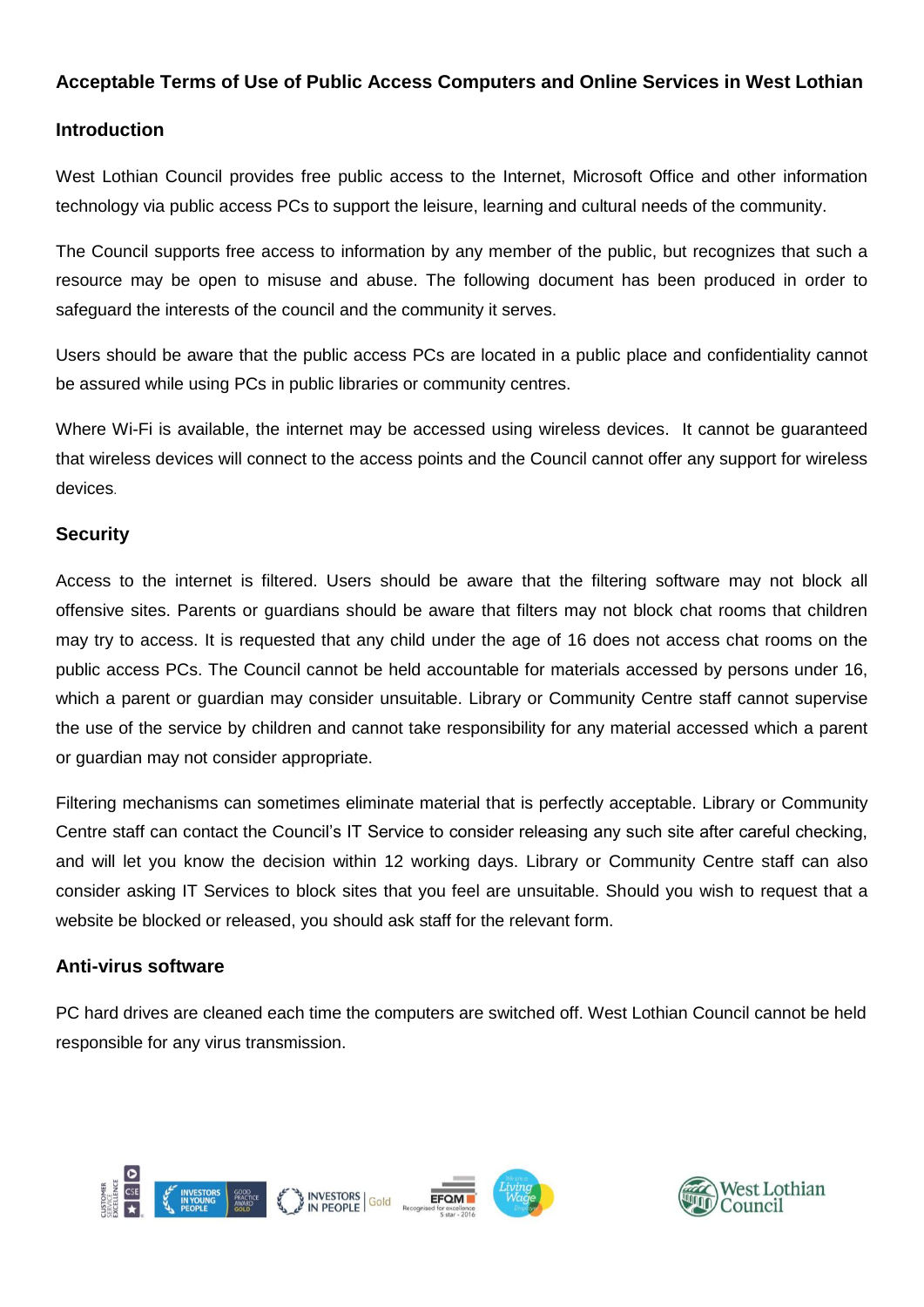### **Acceptable Terms of Use of Public Access Computers and Online Services in West Lothian**

### **Introduction**

West Lothian Council provides free public access to the Internet, Microsoft Office and other information technology via public access PCs to support the leisure, learning and cultural needs of the community.

The Council supports free access to information by any member of the public, but recognizes that such a resource may be open to misuse and abuse. The following document has been produced in order to safeguard the interests of the council and the community it serves.

Users should be aware that the public access PCs are located in a public place and confidentiality cannot be assured while using PCs in public libraries or community centres.

Where Wi-Fi is available, the internet may be accessed using wireless devices. It cannot be guaranteed that wireless devices will connect to the access points and the Council cannot offer any support for wireless devices.

### **Security**

Access to the internet is filtered. Users should be aware that the filtering software may not block all offensive sites. Parents or guardians should be aware that filters may not block chat rooms that children may try to access. It is requested that any child under the age of 16 does not access chat rooms on the public access PCs. The Council cannot be held accountable for materials accessed by persons under 16, which a parent or guardian may consider unsuitable. Library or Community Centre staff cannot supervise the use of the service by children and cannot take responsibility for any material accessed which a parent or guardian may not consider appropriate.

Filtering mechanisms can sometimes eliminate material that is perfectly acceptable. Library or Community Centre staff can contact the Council's IT Service to consider releasing any such site after careful checking, and will let you know the decision within 12 working days. Library or Community Centre staff can also consider asking IT Services to block sites that you feel are unsuitable. Should you wish to request that a website be blocked or released, you should ask staff for the relevant form.

## **Anti-virus software**

PC hard drives are cleaned each time the computers are switched off. West Lothian Council cannot be held responsible for any virus transmission.



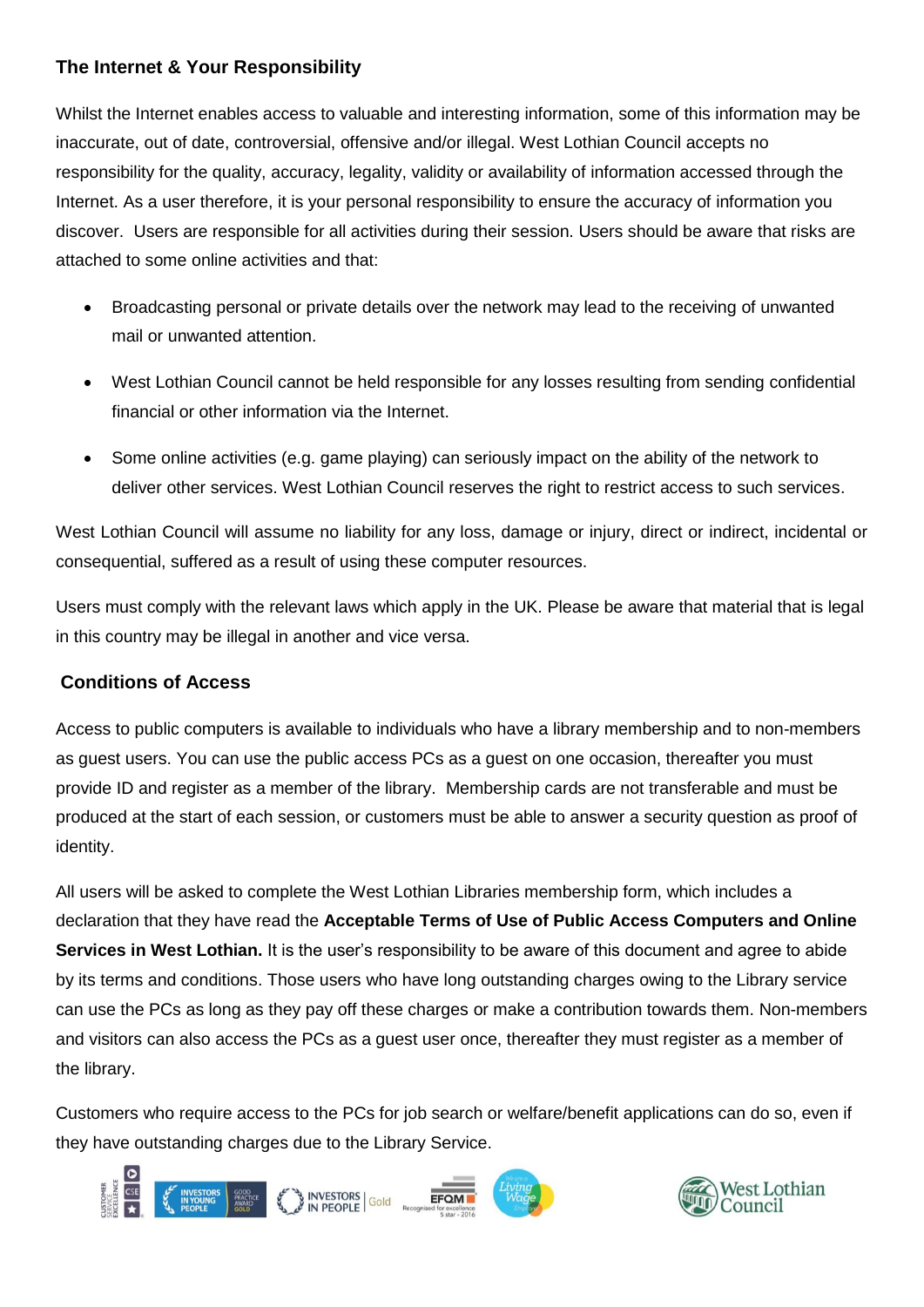# **The Internet & Your Responsibility**

Whilst the Internet enables access to valuable and interesting information, some of this information may be inaccurate, out of date, controversial, offensive and/or illegal. West Lothian Council accepts no responsibility for the quality, accuracy, legality, validity or availability of information accessed through the Internet. As a user therefore, it is your personal responsibility to ensure the accuracy of information you discover. Users are responsible for all activities during their session. Users should be aware that risks are attached to some online activities and that:

- Broadcasting personal or private details over the network may lead to the receiving of unwanted mail or unwanted attention.
- West Lothian Council cannot be held responsible for any losses resulting from sending confidential financial or other information via the Internet.
- Some online activities (e.g. game playing) can seriously impact on the ability of the network to deliver other services. West Lothian Council reserves the right to restrict access to such services.

West Lothian Council will assume no liability for any loss, damage or injury, direct or indirect, incidental or consequential, suffered as a result of using these computer resources.

Users must comply with the relevant laws which apply in the UK. Please be aware that material that is legal in this country may be illegal in another and vice versa.

## **Conditions of Access**

Access to public computers is available to individuals who have a library membership and to non-members as guest users. You can use the public access PCs as a guest on one occasion, thereafter you must provide ID and register as a member of the library. Membership cards are not transferable and must be produced at the start of each session, or customers must be able to answer a security question as proof of identity.

All users will be asked to complete the West Lothian Libraries membership form, which includes a declaration that they have read the **Acceptable Terms of Use of Public Access Computers and Online Services in West Lothian.** It is the user's responsibility to be aware of this document and agree to abide by its terms and conditions. Those users who have long outstanding charges owing to the Library service can use the PCs as long as they pay off these charges or make a contribution towards them. Non-members and visitors can also access the PCs as a guest user once, thereafter they must register as a member of the library.

Customers who require access to the PCs for job search or welfare/benefit applications can do so, even if they have outstanding charges due to the Library Service.



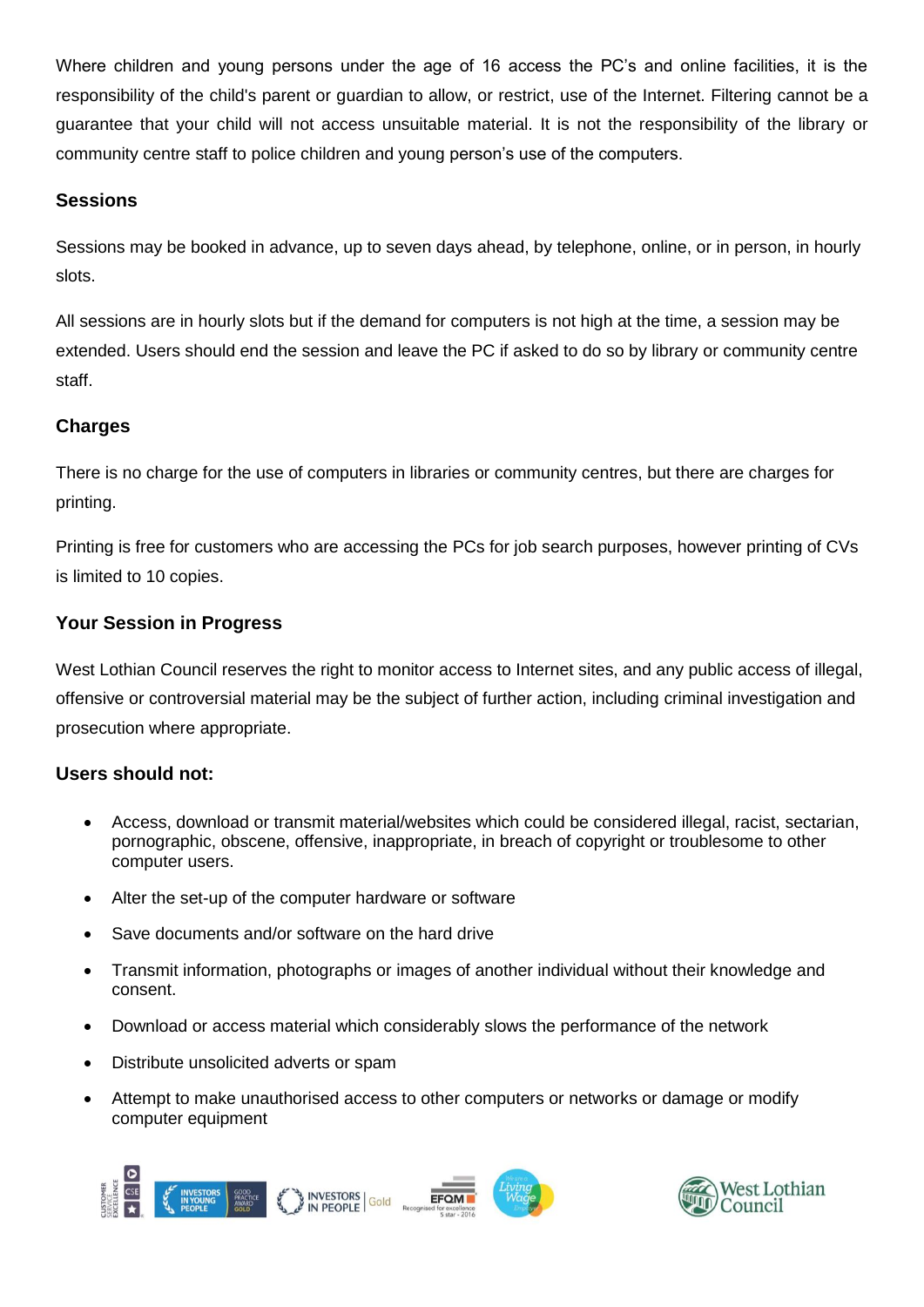Where children and young persons under the age of 16 access the PC's and online facilities, it is the responsibility of the child's parent or guardian to allow, or restrict, use of the Internet. Filtering cannot be a guarantee that your child will not access unsuitable material. It is not the responsibility of the library or community centre staff to police children and young person's use of the computers.

## **Sessions**

Sessions may be booked in advance, up to seven days ahead, by telephone, online, or in person, in hourly slots.

All sessions are in hourly slots but if the demand for computers is not high at the time, a session may be extended. Users should end the session and leave the PC if asked to do so by library or community centre staff.

## **Charges**

There is no charge for the use of computers in libraries or community centres, but there are charges for printing.

Printing is free for customers who are accessing the PCs for job search purposes, however printing of CVs is limited to 10 copies.

### **Your Session in Progress**

West Lothian Council reserves the right to monitor access to Internet sites, and any public access of illegal, offensive or controversial material may be the subject of further action, including criminal investigation and prosecution where appropriate.

## **Users should not:**

- Access, download or transmit material/websites which could be considered illegal, racist, sectarian, pornographic, obscene, offensive, inappropriate, in breach of copyright or troublesome to other computer users.
- Alter the set-up of the computer hardware or software
- Save documents and/or software on the hard drive
- Transmit information, photographs or images of another individual without their knowledge and consent.
- Download or access material which considerably slows the performance of the network
- Distribute unsolicited adverts or spam
- Attempt to make unauthorised access to other computers or networks or damage or modify computer equipment